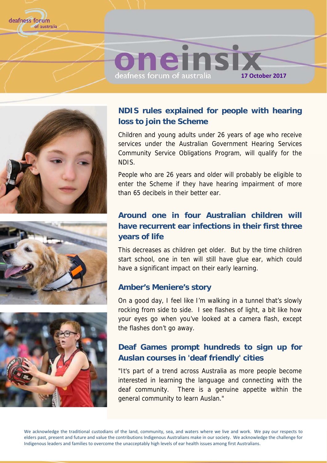







### **NDIS rules explained for people with hearing loss to join the Scheme**

Children and young adults under 26 years of age who receive services under the Australian Government Hearing Services Community Service Obligations Program, will qualify for the NDIS.

People who are 26 years and older will probably be eligible to enter the Scheme if they have hearing impairment of more than 65 decibels in their better ear.

### **Around one in four Australian children will have recurrent ear infections in their first three years of life**

This decreases as children get older. But by the time children start school, one in ten will still have glue ear, which could have a significant impact on their early learning.

### **Amber's Meniere's story**

On a good day, I feel like I'm walking in a tunnel that's slowly rocking from side to side. I see flashes of light, a bit like how your eyes go when you've looked at a camera flash, except the flashes don't go away.

### **Deaf Games prompt hundreds to sign up for Auslan courses in 'deaf friendly' cities**

"It's part of a trend across Australia as more people become interested in learning the language and connecting with the deaf community. There is a genuine appetite within the general community to learn Auslan."

We acknowledge the traditional custodians of the land, community, sea, and waters where we live and work. We pay our respects to elders past, present and future and value the contributions Indigenous Australians make in our society. We acknowledge the challenge for Indigenous leaders and families to overcome the unacceptably high levels of ear health issues among first Australians.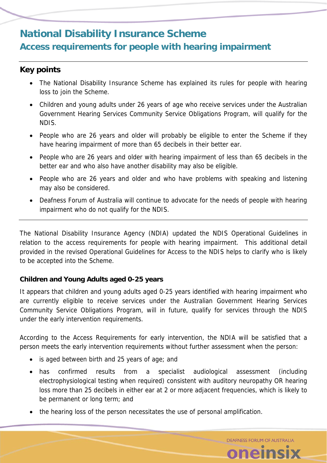# **National Disability Insurance Scheme Access requirements for people with hearing impairment**

### **Key points**

- The National Disability Insurance Scheme has explained its rules for people with hearing loss to join the Scheme.
- Children and young adults under 26 years of age who receive services under the Australian Government Hearing Services Community Service Obligations Program, will qualify for the NDIS.
- People who are 26 years and older will probably be eligible to enter the Scheme if they have hearing impairment of more than 65 decibels in their better ear.
- People who are 26 years and older with hearing impairment of less than 65 decibels in the better ear and who also have another disability may also be eligible.
- People who are 26 years and older and who have problems with speaking and listening may also be considered.
- Deafness Forum of Australia will continue to advocate for the needs of people with hearing impairment who do not qualify for the NDIS.

The National Disability Insurance Agency (NDIA) updated the NDIS Operational Guidelines in relation to the access requirements for people with hearing impairment. This additional detail provided in the revised Operational Guidelines for Access to the NDIS helps to clarify who is likely to be accepted into the Scheme.

### **Children and Young Adults aged 0-25 years**

It appears that children and young adults aged 0-25 years identified with hearing impairment who are currently eligible to receive services under the Australian Government Hearing Services Community Service Obligations Program, will in future, qualify for services through the NDIS under the early intervention requirements.

According to the Access Requirements for early intervention, the NDIA will be satisfied that a person meets the early intervention requirements without further assessment when the person:

- is aged between birth and 25 years of age; and
- has confirmed results from a specialist audiological assessment (including electrophysiological testing when required) consistent with auditory neuropathy OR hearing loss more than 25 decibels in either ear at 2 or more adjacent frequencies, which is likely to be permanent or long term; and

**DEAFNESS FORUM OF AUSTRALIA** 

oneinsix

the hearing loss of the person necessitates the use of personal amplification.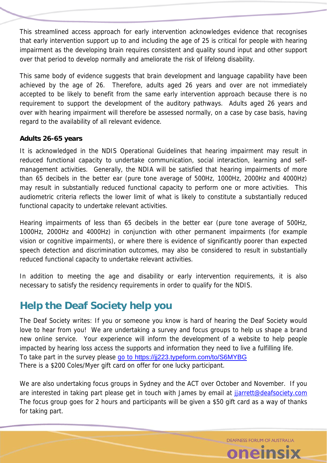This streamlined access approach for early intervention acknowledges evidence that recognises that early intervention support up to and including the age of 25 is critical for people with hearing impairment as the developing brain requires consistent and quality sound input and other support over that period to develop normally and ameliorate the risk of lifelong disability.

This same body of evidence suggests that brain development and language capability have been achieved by the age of 26. Therefore, adults aged 26 years and over are not immediately accepted to be likely to benefit from the same early intervention approach because there is no requirement to support the development of the auditory pathways. Adults aged 26 years and over with hearing impairment will therefore be assessed normally, on a case by case basis, having regard to the availability of all relevant evidence.

### **Adults 26-65 years**

It is acknowledged in the NDIS Operational Guidelines that hearing impairment may result in reduced functional capacity to undertake communication, social interaction, learning and selfmanagement activities. Generally, the NDIA will be satisfied that hearing impairments of more than 65 decibels in the better ear (pure tone average of 500Hz, 1000Hz, 2000Hz and 4000Hz) may result in substantially reduced functional capacity to perform one or more activities. This audiometric criteria reflects the lower limit of what is likely to constitute a substantially reduced functional capacity to undertake relevant activities.

Hearing impairments of less than 65 decibels in the better ear (pure tone average of 500Hz, 1000Hz, 2000Hz and 4000Hz) in conjunction with other permanent impairments (for example vision or cognitive impairments), or where there is evidence of significantly poorer than expected speech detection and discrimination outcomes, may also be considered to result in substantially reduced functional capacity to undertake relevant activities.

In addition to meeting the age and disability or early intervention requirements, it is also necessary to satisfy the residency requirements in order to qualify for the NDIS.

# **Help the Deaf Society help you**

The Deaf Society writes: If you or someone you know is hard of hearing the Deaf Society would love to hear from you! We are undertaking a survey and focus groups to help us shape a brand new online service. Your experience will inform the development of a website to help people impacted by hearing loss access the supports and information they need to live a fulfilling life. To take part in the survey please go to https://jj223.typeform.com/to/S6MYBG There is a \$200 Coles/Myer gift card on offer for one lucky participant.

We are also undertaking focus groups in Sydney and the ACT over October and November. If you are interested in taking part please get in touch with James by email at jarrett@deafsociety.com The focus group goes for 2 hours and participants will be given a \$50 gift card as a way of thanks for taking part.

> **DEAFNESS FORUM OF AUSTRALIA** oneinsi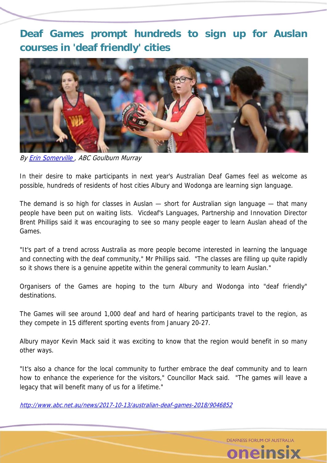**Deaf Games prompt hundreds to sign up for Auslan courses in 'deaf friendly' cities** 



By **Erin Somerville**, ABC Goulburn Murray

In their desire to make participants in next year's Australian Deaf Games feel as welcome as possible, hundreds of residents of host cities Albury and Wodonga are learning sign language.

The demand is so high for classes in Auslan — short for Australian sign language — that many people have been put on waiting lists. Vicdeaf's Languages, Partnership and Innovation Director Brent Phillips said it was encouraging to see so many people eager to learn Auslan ahead of the Games.

"It's part of a trend across Australia as more people become interested in learning the language and connecting with the deaf community," Mr Phillips said. "The classes are filling up quite rapidly so it shows there is a genuine appetite within the general community to learn Auslan."

Organisers of the Games are hoping to the turn Albury and Wodonga into "deaf friendly" destinations.

The Games will see around 1,000 deaf and hard of hearing participants travel to the region, as they compete in 15 different sporting events from January 20-27.

Albury mayor Kevin Mack said it was exciting to know that the region would benefit in so many other ways.

"It's also a chance for the local community to further embrace the deaf community and to learn how to enhance the experience for the visitors," Councillor Mack said. "The games will leave a legacy that will benefit many of us for a lifetime."

http://www.abc.net.au/news/2017-10-13/australian-deaf-games-2018/9046852

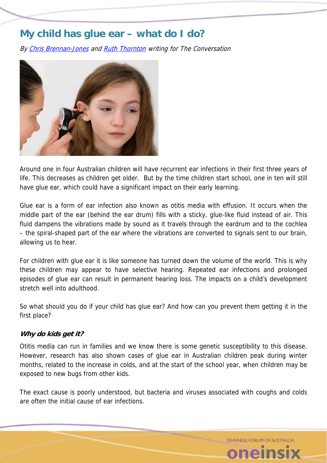# **My child has glue ear – what do I do?**

By Chris Brennan-Jones and Ruth Thornton writing for The Conversation



Around one in four Australian children will have recurrent ear infections in their first three years of life. This decreases as children get older. But by the time children start school, one in ten will still have glue ear, which could have a significant impact on their early learning.

Glue ear is a form of ear infection also known as otitis media with effusion. It occurs when the middle part of the ear (behind the ear drum) fills with a sticky, glue-like fluid instead of air. This fluid dampens the vibrations made by sound as it travels through the eardrum and to the cochlea – the spiral-shaped part of the ear where the vibrations are converted to signals sent to our brain, allowing us to hear.

For children with glue ear it is like someone has turned down the volume of the world. This is why these children may appear to have selective hearing. Repeated ear infections and prolonged episodes of glue ear can result in permanent hearing loss. The impacts on a child's development stretch well into adulthood.

So what should you do if your child has glue ear? And how can you prevent them getting it in the first place?

### **Why do kids get it?**

Otitis media can run in families and we know there is some genetic susceptibility to this disease. However, research has also shown cases of glue ear in Australian children peak during winter months, related to the increase in colds, and at the start of the school year, when children may be exposed to new bugs from other kids.

The exact cause is poorly understood, but bacteria and viruses associated with coughs and colds are often the initial cause of ear infections.

DEAENESS FORUM OF AUSTRALIA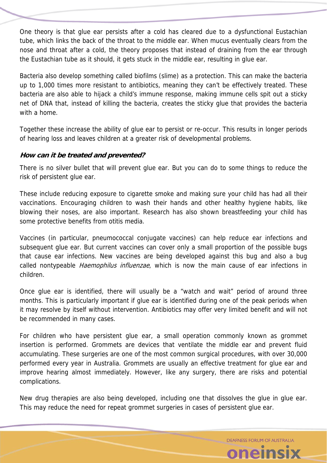One theory is that glue ear persists after a cold has cleared due to a dysfunctional Eustachian tube, which links the back of the throat to the middle ear. When mucus eventually clears from the nose and throat after a cold, the theory proposes that instead of draining from the ear through the Eustachian tube as it should, it gets stuck in the middle ear, resulting in glue ear.

Bacteria also develop something called biofilms (slime) as a protection. This can make the bacteria up to 1,000 times more resistant to antibiotics, meaning they can't be effectively treated. These bacteria are also able to hijack a child's immune response, making immune cells spit out a sticky net of DNA that, instead of killing the bacteria, creates the sticky glue that provides the bacteria with a home.

Together these increase the ability of glue ear to persist or re-occur. This results in longer periods of hearing loss and leaves children at a greater risk of developmental problems.

### **How can it be treated and prevented?**

There is no silver bullet that will prevent glue ear. But you can do to some things to reduce the risk of persistent glue ear.

These include reducing exposure to cigarette smoke and making sure your child has had all their vaccinations. Encouraging children to wash their hands and other healthy hygiene habits, like blowing their noses, are also important. Research has also shown breastfeeding your child has some protective benefits from otitis media.

Vaccines (in particular, pneumococcal conjugate vaccines) can help reduce ear infections and subsequent glue ear. But current vaccines can cover only a small proportion of the possible bugs that cause ear infections. New vaccines are being developed against this bug and also a bug called nontypeable *Haemophilus influenzae*, which is now the main cause of ear infections in children.

Once glue ear is identified, there will usually be a "watch and wait" period of around three months. This is particularly important if glue ear is identified during one of the peak periods when it may resolve by itself without intervention. Antibiotics may offer very limited benefit and will not be recommended in many cases.

For children who have persistent glue ear, a small operation commonly known as grommet insertion is performed. Grommets are devices that ventilate the middle ear and prevent fluid accumulating. These surgeries are one of the most common surgical procedures, with over 30,000 performed every year in Australia. Grommets are usually an effective treatment for glue ear and improve hearing almost immediately. However, like any surgery, there are risks and potential complications.

New drug therapies are also being developed, including one that dissolves the glue in glue ear. This may reduce the need for repeat grommet surgeries in cases of persistent glue ear.

> **DEAFNESS FORUM OF AUSTRALIA** oneinsix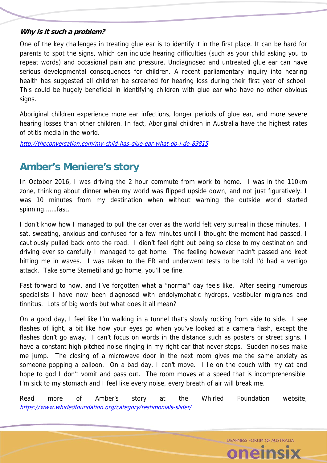### **Why is it such a problem?**

One of the key challenges in treating glue ear is to identify it in the first place. It can be hard for parents to spot the signs, which can include hearing difficulties (such as your child asking you to repeat words) and occasional pain and pressure. Undiagnosed and untreated glue ear can have serious developmental consequences for children. A recent parliamentary inquiry into hearing health has suggested all children be screened for hearing loss during their first year of school. This could be hugely beneficial in identifying children with glue ear who have no other obvious signs.

Aboriginal children experience more ear infections, longer periods of glue ear, and more severe hearing losses than other children. In fact, Aboriginal children in Australia have the highest rates of otitis media in the world.

http://theconversation.com/my-child-has-glue-ear-what-do-i-do-83815

# **Amber's Meniere's story**

In October 2016, I was driving the 2 hour commute from work to home. I was in the 110km zone, thinking about dinner when my world was flipped upside down, and not just figuratively. I was 10 minutes from my destination when without warning the outside world started spinning…….fast.

I don't know how I managed to pull the car over as the world felt very surreal in those minutes. I sat, sweating, anxious and confused for a few minutes until I thought the moment had passed. I cautiously pulled back onto the road. I didn't feel right but being so close to my destination and driving ever so carefully I managed to get home. The feeling however hadn't passed and kept hitting me in waves. I was taken to the ER and underwent tests to be told I'd had a vertigo attack. Take some Stemetil and go home, you'll be fine.

Fast forward to now, and I've forgotten what a "normal" day feels like. After seeing numerous specialists I have now been diagnosed with endolymphatic hydrops, vestibular migraines and tinnitus. Lots of big words but what does it all mean?

On a good day, I feel like I'm walking in a tunnel that's slowly rocking from side to side. I see flashes of light, a bit like how your eyes go when you've looked at a camera flash, except the flashes don't go away. I can't focus on words in the distance such as posters or street signs. I have a constant high pitched noise ringing in my right ear that never stops. Sudden noises make me jump. The closing of a microwave door in the next room gives me the same anxiety as someone popping a balloon. On a bad day, I can't move. I lie on the couch with my cat and hope to god I don't vomit and pass out. The room moves at a speed that is incomprehensible. I'm sick to my stomach and I feel like every noise, every breath of air will break me.

Read more of Amber's story at the Whirled Foundation website, https://www.whirledfoundation.org/category/testimonials-slider/

> **DEAFNESS FORUM OF AUSTRALIA** oneinsi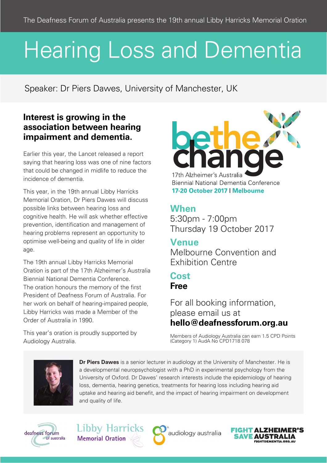# Hearing Loss and Dementia

Speaker: Dr Piers Dawes, University of Manchester, UK

### **Interest is growing in the association between hearing impairment and dementia.**

Earlier this year, the Lancet released a report saying that hearing loss was one of nine factors that could be changed in midlife to reduce the incidence of dementia.

This year, in the 19th annual Libby Harricks Memorial Oration, Dr Piers Dawes will discuss possible links between hearing loss and cognitive health. He will ask whether effective prevention, identification and management of hearing problems represent an opportunity to optimise well-being and quality of life in older age.

The 19th annual Libby Harricks Memorial Oration is part of the 17th Alzheimer's Australia Biennial National Dementia Conference. The oration honours the memory of the first President of Deafness Forum of Australia. For her work on behalf of hearing-impaired people, Libby Harricks was made a Member of the Order of Australia in 1990.

This year's oration is proudly supported by Audiology Australia.

17th Alzheimer's Australia **Biennial National Dementia Conference** 17-20 October 2017 | Melbourne

# **When**

5:30pm - 7:00pm Thursday 19 October 2017

## **Venue**

Melbourne Convention and Exhibition Centre

# **Cost Free**

For all booking information, please email us at **hello@deafnessforum.org.au**

Members of Audiology Australia can earn 1.5 CPD Points (Category 1) AudA No CPD1718 078



**Dr Piers Dawes** is a senior lecturer in audiology at the University of Manchester. He is a developmental neuropsychologist with a PhD in experimental psychology from the University of Oxford. Dr Dawes' research interests include the epidemiology of hearing loss, dementia, hearing genetics, treatments for hearing loss including hearing aid uptake and hearing aid benefit, and the impact of hearing impairment on development and quality of life.



**Libby Harricks Memorial Oration** 



audiology australia

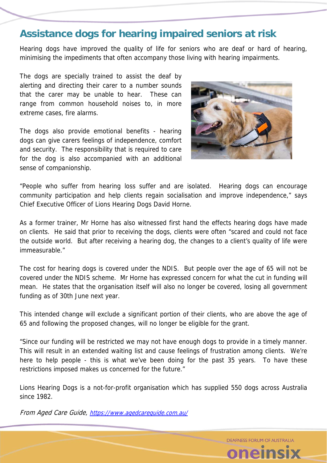# **Assistance dogs for hearing impaired seniors at risk**

Hearing dogs have improved the quality of life for seniors who are deaf or hard of hearing, minimising the impediments that often accompany those living with hearing impairments.

The dogs are specially trained to assist the deaf by alerting and directing their carer to a number sounds that the carer may be unable to hear. These can range from common household noises to, in more extreme cases, fire alarms.

The dogs also provide emotional benefits - hearing dogs can give carers feelings of independence, comfort and security. The responsibility that is required to care for the dog is also accompanied with an additional sense of companionship.



"People who suffer from hearing loss suffer and are isolated. Hearing dogs can encourage community participation and help clients regain socialisation and improve independence," says Chief Executive Officer of Lions Hearing Dogs David Horne.

As a former trainer, Mr Horne has also witnessed first hand the effects hearing dogs have made on clients. He said that prior to receiving the dogs, clients were often "scared and could not face the outside world. But after receiving a hearing dog, the changes to a client's quality of life were immeasurable."

The cost for hearing dogs is covered under the NDIS. But people over the age of 65 will not be covered under the NDIS scheme. Mr Horne has expressed concern for what the cut in funding will mean. He states that the organisation itself will also no longer be covered, losing all government funding as of 30th June next year.

This intended change will exclude a significant portion of their clients, who are above the age of 65 and following the proposed changes, will no longer be eligible for the grant.

"Since our funding will be restricted we may not have enough dogs to provide in a timely manner. This will result in an extended waiting list and cause feelings of frustration among clients. We're here to help people - this is what we've been doing for the past 35 years. To have these restrictions imposed makes us concerned for the future."

Lions Hearing Dogs is a not-for-profit organisation which has supplied 550 dogs across Australia since 1982.

From Aged Care Guide, https://www.agedcareguide.com.au/

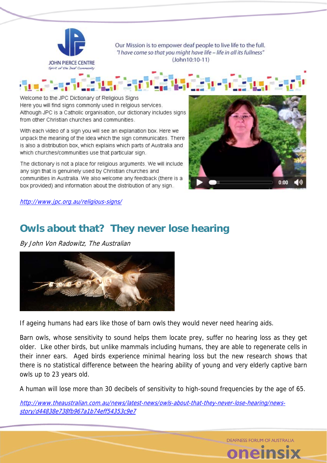

Our Mission is to empower deaf people to live life to the full. "I have come so that you might have life - life in all its fullness" (John10:10-11)

Welcome to the JPC Dictionary of Religious Signs Here you will find signs commonly used in relgious services. Although JPC is a Catholic organisation, our dictionary includes signs from other Christian churches and communities.

With each video of a sign you will see an explanation box. Here we unpack the meaning of the idea which the sign communicates. There is also a distribution box, which explains which parts of Australia and which churches/communities use that particular sign.

The dictionary is not a place for religious arguments. We will include any sign that is genuinely used by Christian churches and communities in Australia. We also welcome any feedback (there is a box provided) and information about the distribution of any sign.



http://www.jpc.org.au/religious-signs/

# **Owls about that? They never lose hearing**

By John Von Radowitz, The Australian



If ageing humans had ears like those of barn owls they would never need hearing aids.

Barn owls, whose sensitivity to sound helps them locate prey, suffer no hearing loss as they get older. Like other birds, but unlike mammals including humans, they are able to regenerate cells in their inner ears. Aged birds experience minimal hearing loss but the new research shows that there is no statistical difference between the hearing ability of young and very elderly captive barn owls up to 23 years old.

A human will lose more than 30 decibels of sensitivity to high-sound frequencies by the age of 65.

http://www.theaustralian.com.au/news/latest-news/owls-about-that-they-never-lose-hearing/newsstory/d44838e738fb967a1b74eff54353c9e7

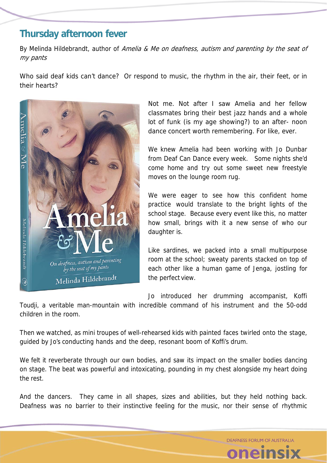# **Thursday afternoon fever**

By Melinda Hildebrandt, author of Amelia & Me on deafness, autism and parenting by the seat of my pants

Who said deaf kids can't dance? Or respond to music, the rhythm in the air, their feet, or in their hearts?



Not me. Not after I saw Amelia and her fellow classmates bring their best jazz hands and a whole lot of funk (is my age showing?) to an after- noon dance concert worth remembering. For like, ever.

We knew Amelia had been working with Jo Dunbar from Deaf Can Dance every week. Some nights she'd come home and try out some sweet new freestyle moves on the lounge room rug.

We were eager to see how this confident home practice would translate to the bright lights of the school stage. Because every event like this, no matter how small, brings with it a new sense of who our daughter is.

Like sardines, we packed into a small multipurpose room at the school; sweaty parents stacked on top of each other like a human game of Jenga, jostling for the perfect view.

Jo introduced her drumming accompanist, Koffi

Toudji, a veritable man-mountain with incredible command of his instrument and the 50-odd children in the room.

Then we watched, as mini troupes of well-rehearsed kids with painted faces twirled onto the stage, guided by Jo's conducting hands and the deep, resonant boom of Koffi's drum.

We felt it reverberate through our own bodies, and saw its impact on the smaller bodies dancing on stage. The beat was powerful and intoxicating, pounding in my chest alongside my heart doing the rest.

And the dancers. They came in all shapes, sizes and abilities, but they held nothing back. Deafness was no barrier to their instinctive feeling for the music, nor their sense of rhythmic

DEAENESS FORUM OF AUSTRALIA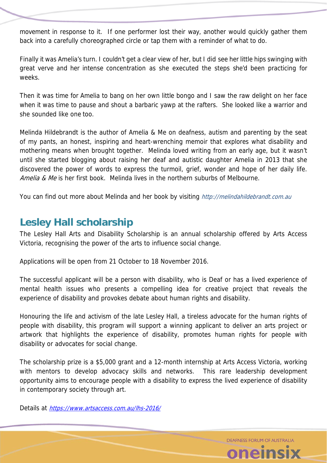movement in response to it. If one performer lost their way, another would quickly gather them back into a carefully choreographed circle or tap them with a reminder of what to do.

Finally it was Amelia's turn. I couldn't get a clear view of her, but I did see her little hips swinging with great verve and her intense concentration as she executed the steps she'd been practicing for weeks.

Then it was time for Amelia to bang on her own little bongo and I saw the raw delight on her face when it was time to pause and shout a barbaric yawp at the rafters. She looked like a warrior and she sounded like one too.

Melinda Hildebrandt is the author of Amelia & Me on deafness, autism and parenting by the seat of my pants, an honest, inspiring and heart-wrenching memoir that explores what disability and mothering means when brought together. Melinda loved writing from an early age, but it wasn't until she started blogging about raising her deaf and autistic daughter Amelia in 2013 that she discovered the power of words to express the turmoil, grief, wonder and hope of her daily life. Amelia & Me is her first book. Melinda lives in the northern suburbs of Melbourne.

You can find out more about Melinda and her book by visiting http://melindahildebrandt.com.au

# **Lesley Hall scholarship**

The Lesley Hall Arts and Disability Scholarship is an annual scholarship offered by Arts Access Victoria, recognising the power of the arts to influence social change.

Applications will be open from 21 October to 18 November 2016.

The successful applicant will be a person with disability, who is Deaf or has a lived experience of mental health issues who presents a compelling idea for creative project that reveals the experience of disability and provokes debate about human rights and disability.

Honouring the life and activism of the late Lesley Hall, a tireless advocate for the human rights of people with disability, this program will support a winning applicant to deliver an arts project or artwork that highlights the experience of disability, promotes human rights for people with disability or advocates for social change.

The scholarship prize is a \$5,000 grant and a 12-month internship at Arts Access Victoria, working with mentors to develop advocacy skills and networks. This rare leadership development opportunity aims to encourage people with a disability to express the lived experience of disability in contemporary society through art.

Details at https://www.artsaccess.com.au/lhs-2016/

DEAFNESS FORUM OF AUSTRALIA oneinsi